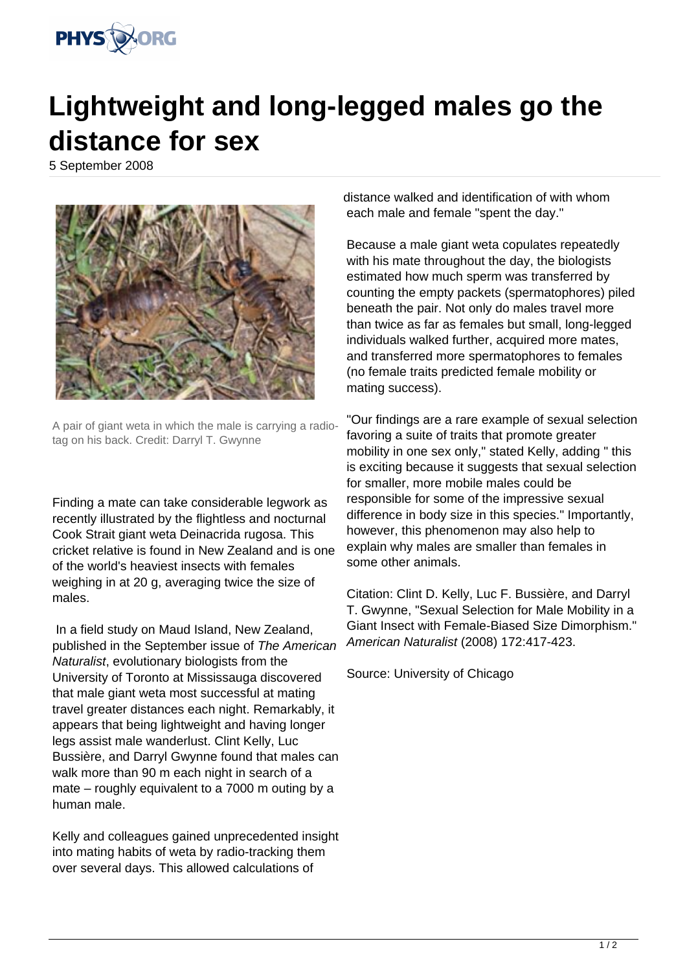

## **Lightweight and long-legged males go the distance for sex**

5 September 2008



A pair of giant weta in which the male is carrying a radiotag on his back. Credit: Darryl T. Gwynne

Finding a mate can take considerable legwork as recently illustrated by the flightless and nocturnal Cook Strait giant weta Deinacrida rugosa. This cricket relative is found in New Zealand and is one of the world's heaviest insects with females weighing in at 20 g, averaging twice the size of males.

 In a field study on Maud Island, New Zealand, published in the September issue of The American Naturalist, evolutionary biologists from the University of Toronto at Mississauga discovered that male giant weta most successful at mating travel greater distances each night. Remarkably, it appears that being lightweight and having longer legs assist male wanderlust. Clint Kelly, Luc Bussière, and Darryl Gwynne found that males can walk more than 90 m each night in search of a mate – roughly equivalent to a 7000 m outing by a human male.

Kelly and colleagues gained unprecedented insight into mating habits of weta by radio-tracking them over several days. This allowed calculations of

distance walked and identification of with whom each male and female "spent the day."

Because a male giant weta copulates repeatedly with his mate throughout the day, the biologists estimated how much sperm was transferred by counting the empty packets (spermatophores) piled beneath the pair. Not only do males travel more than twice as far as females but small, long-legged individuals walked further, acquired more mates, and transferred more spermatophores to females (no female traits predicted female mobility or mating success).

"Our findings are a rare example of sexual selection favoring a suite of traits that promote greater mobility in one sex only," stated Kelly, adding " this is exciting because it suggests that sexual selection for smaller, more mobile males could be responsible for some of the impressive sexual difference in body size in this species." Importantly, however, this phenomenon may also help to explain why males are smaller than females in some other animals.

Citation: Clint D. Kelly, Luc F. Bussière, and Darryl T. Gwynne, "Sexual Selection for Male Mobility in a Giant Insect with Female-Biased Size Dimorphism." American Naturalist (2008) 172:417-423.

Source: University of Chicago